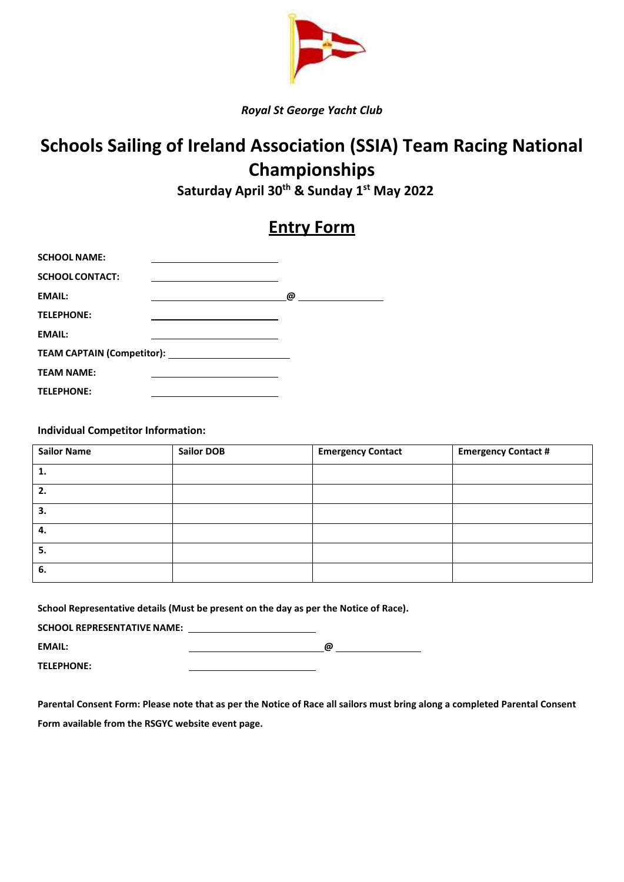

*Royal St George Yacht Club*

## **Schools Sailing of Ireland Association (SSIA) Team Racing National Championships**

 **Saturday April 30th & Sunday 1st May 2022**

## **Entry Form**

| <b>SCHOOL NAME:</b>    | the contract of the contract of the contract of the contract of the contract of |                                                      |
|------------------------|---------------------------------------------------------------------------------|------------------------------------------------------|
| <b>SCHOOL CONTACT:</b> | the contract of the contract of the contract of the contract of the contract of |                                                      |
| <b>EMAIL:</b>          |                                                                                 | @<br><u> 1989 - Jan Samuel Barbara, politik a po</u> |
| <b>TELEPHONE:</b>      |                                                                                 |                                                      |
| <b>EMAIL:</b>          |                                                                                 |                                                      |
|                        |                                                                                 |                                                      |
| <b>TEAM NAME:</b>      |                                                                                 |                                                      |
| <b>TELEPHONE:</b>      |                                                                                 |                                                      |

**Individual Competitor Information:**

| <b>Sailor Name</b> | <b>Sailor DOB</b> | <b>Emergency Contact</b> | <b>Emergency Contact #</b> |
|--------------------|-------------------|--------------------------|----------------------------|
| 1.                 |                   |                          |                            |
| 2.                 |                   |                          |                            |
| 3.                 |                   |                          |                            |
| 4.                 |                   |                          |                            |
| 5.                 |                   |                          |                            |
| 6.                 |                   |                          |                            |

|                                    | School Representative details (Must be present on the day as per the Notice of Race). |
|------------------------------------|---------------------------------------------------------------------------------------|
| <b>SCHOOL REPRESENTATIVE NAME:</b> |                                                                                       |

| <b>EMAIL:</b>     | <b>a</b><br>. . |
|-------------------|-----------------|
| <b>TELEPHONE:</b> |                 |

**Parental Consent Form: Please note that as per the Notice of Race all sailors must bring along a completed Parental Consent Form available from the RSGYC website event page.**